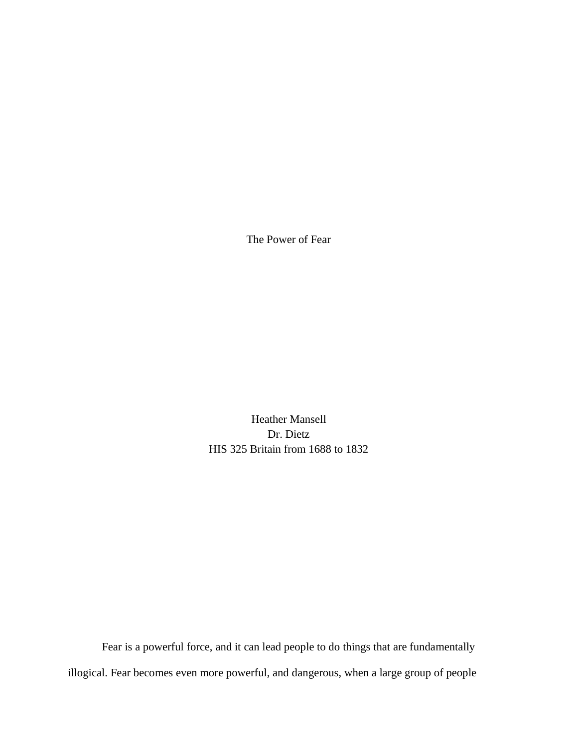The Power of Fear

Heather Mansell Dr. Dietz HIS 325 Britain from 1688 to 1832

Fear is a powerful force, and it can lead people to do things that are fundamentally illogical. Fear becomes even more powerful, and dangerous, when a large group of people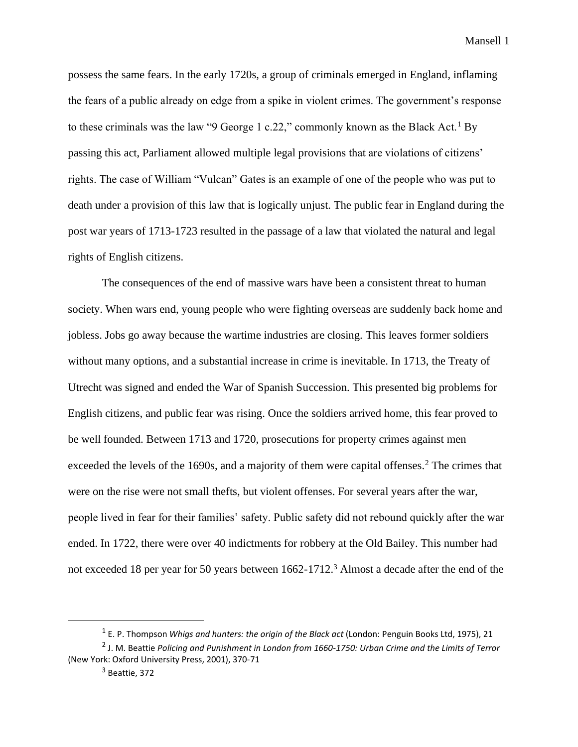possess the same fears. In the early 1720s, a group of criminals emerged in England, inflaming the fears of a public already on edge from a spike in violent crimes. The government's response to these criminals was the law "9 George 1 c.22," commonly known as the Black Act.<sup>1</sup> By passing this act, Parliament allowed multiple legal provisions that are violations of citizens' rights. The case of William "Vulcan" Gates is an example of one of the people who was put to death under a provision of this law that is logically unjust. The public fear in England during the post war years of 1713-1723 resulted in the passage of a law that violated the natural and legal rights of English citizens.

The consequences of the end of massive wars have been a consistent threat to human society. When wars end, young people who were fighting overseas are suddenly back home and jobless. Jobs go away because the wartime industries are closing. This leaves former soldiers without many options, and a substantial increase in crime is inevitable. In 1713, the Treaty of Utrecht was signed and ended the War of Spanish Succession. This presented big problems for English citizens, and public fear was rising. Once the soldiers arrived home, this fear proved to be well founded. Between 1713 and 1720, prosecutions for property crimes against men exceeded the levels of the 1690s, and a majority of them were capital offenses.<sup>2</sup> The crimes that were on the rise were not small thefts, but violent offenses. For several years after the war, people lived in fear for their families' safety. Public safety did not rebound quickly after the war ended. In 1722, there were over 40 indictments for robbery at the Old Bailey. This number had not exceeded 18 per year for 50 years between 1662-1712.<sup>3</sup> Almost a decade after the end of the

<sup>1</sup> E. P. Thompson *Whigs and hunters: the origin of the Black act* (London: Penguin Books Ltd, 1975), 21

<sup>2</sup> J. M. Beattie *Policing and Punishment in London from 1660-1750: Urban Crime and the Limits of Terror*  (New York: Oxford University Press, 2001), 370-71

<sup>3</sup> Beattie, 372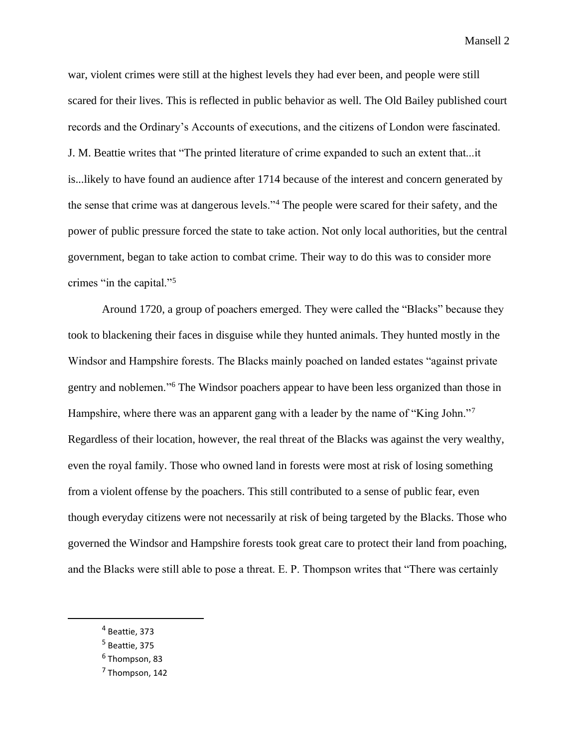war, violent crimes were still at the highest levels they had ever been, and people were still scared for their lives. This is reflected in public behavior as well. The Old Bailey published court records and the Ordinary's Accounts of executions, and the citizens of London were fascinated. J. M. Beattie writes that "The printed literature of crime expanded to such an extent that...it is...likely to have found an audience after 1714 because of the interest and concern generated by the sense that crime was at dangerous levels."<sup>4</sup> The people were scared for their safety, and the power of public pressure forced the state to take action. Not only local authorities, but the central government, began to take action to combat crime. Their way to do this was to consider more crimes "in the capital."<sup>5</sup>

Around 1720, a group of poachers emerged. They were called the "Blacks" because they took to blackening their faces in disguise while they hunted animals. They hunted mostly in the Windsor and Hampshire forests. The Blacks mainly poached on landed estates "against private gentry and noblemen."<sup>6</sup> The Windsor poachers appear to have been less organized than those in Hampshire, where there was an apparent gang with a leader by the name of "King John."<sup>7</sup> Regardless of their location, however, the real threat of the Blacks was against the very wealthy, even the royal family. Those who owned land in forests were most at risk of losing something from a violent offense by the poachers. This still contributed to a sense of public fear, even though everyday citizens were not necessarily at risk of being targeted by the Blacks. Those who governed the Windsor and Hampshire forests took great care to protect their land from poaching, and the Blacks were still able to pose a threat. E. P. Thompson writes that "There was certainly

<sup>4</sup> Beattie, 373

<sup>5</sup> Beattie, 375

<sup>&</sup>lt;sup>6</sup> Thompson, 83

<sup>&</sup>lt;sup>7</sup> Thompson, 142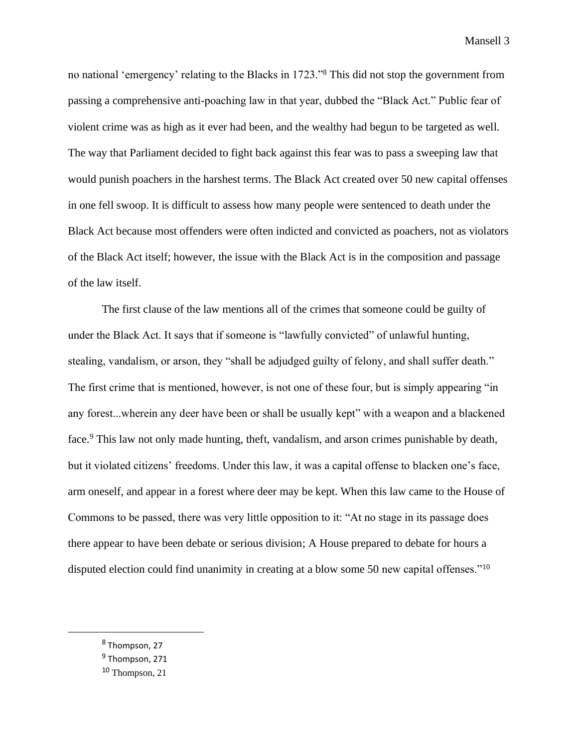no national 'emergency' relating to the Blacks in 1723."<sup>8</sup> This did not stop the government from passing a comprehensive anti-poaching law in that year, dubbed the "Black Act." Public fear of violent crime was as high as it ever had been, and the wealthy had begun to be targeted as well. The way that Parliament decided to fight back against this fear was to pass a sweeping law that would punish poachers in the harshest terms. The Black Act created over 50 new capital offenses in one fell swoop. It is difficult to assess how many people were sentenced to death under the Black Act because most offenders were often indicted and convicted as poachers, not as violators of the Black Act itself; however, the issue with the Black Act is in the composition and passage of the law itself.

The first clause of the law mentions all of the crimes that someone could be guilty of under the Black Act. It says that if someone is "lawfully convicted" of unlawful hunting, stealing, vandalism, or arson, they "shall be adjudged guilty of felony, and shall suffer death." The first crime that is mentioned, however, is not one of these four, but is simply appearing "in any forest...wherein any deer have been or shall be usually kept" with a weapon and a blackened face.<sup>9</sup> This law not only made hunting, theft, vandalism, and arson crimes punishable by death, but it violated citizens' freedoms. Under this law, it was a capital offense to blacken one's face, arm oneself, and appear in a forest where deer may be kept. When this law came to the House of Commons to be passed, there was very little opposition to it: "At no stage in its passage does there appear to have been debate or serious division; A House prepared to debate for hours a disputed election could find unanimity in creating at a blow some 50 new capital offenses."<sup>10</sup>

<sup>&</sup>lt;sup>8</sup> Thompson, 27

<sup>&</sup>lt;sup>9</sup> Thompson, 271

<sup>10</sup> Thompson, 21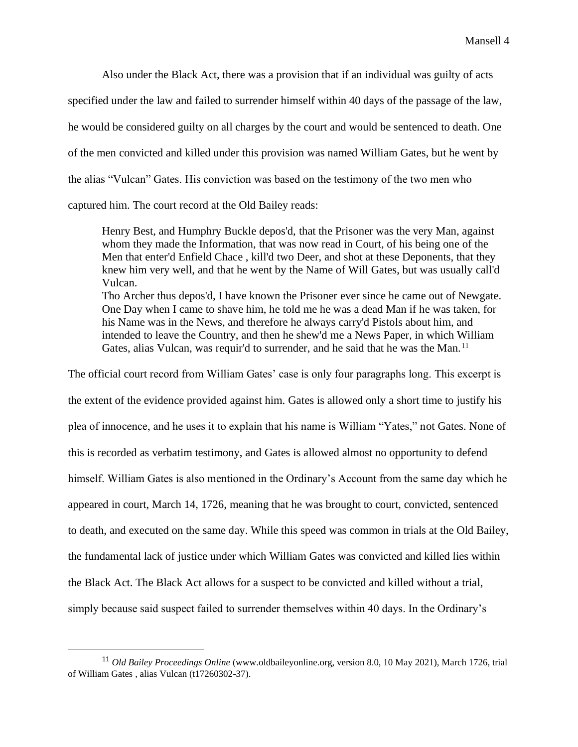Also under the Black Act, there was a provision that if an individual was guilty of acts

specified under the law and failed to surrender himself within 40 days of the passage of the law,

he would be considered guilty on all charges by the court and would be sentenced to death. One

of the men convicted and killed under this provision was named William Gates, but he went by

the alias "Vulcan" Gates. His conviction was based on the testimony of the two men who

captured him. The court record at the Old Bailey reads:

Henry Best, and Humphry Buckle depos'd, that the Prisoner was the very Man, against whom they made the Information, that was now read in Court, of his being one of the Men that enter'd Enfield Chace , kill'd two Deer, and shot at these Deponents, that they knew him very well, and that he went by the Name of Will Gates, but was usually call'd Vulcan.

Tho Archer thus depos'd, I have known the Prisoner ever since he came out of Newgate. One Day when I came to shave him, he told me he was a dead Man if he was taken, for his Name was in the News, and therefore he always carry'd Pistols about him, and intended to leave the Country, and then he shew'd me a News Paper, in which William Gates, alias Vulcan, was requir'd to surrender, and he said that he was the Man.<sup>11</sup>

The official court record from William Gates' case is only four paragraphs long. This excerpt is the extent of the evidence provided against him. Gates is allowed only a short time to justify his plea of innocence, and he uses it to explain that his name is William "Yates," not Gates. None of this is recorded as verbatim testimony, and Gates is allowed almost no opportunity to defend himself. William Gates is also mentioned in the Ordinary's Account from the same day which he appeared in court, March 14, 1726, meaning that he was brought to court, convicted, sentenced to death, and executed on the same day. While this speed was common in trials at the Old Bailey, the fundamental lack of justice under which William Gates was convicted and killed lies within the Black Act. The Black Act allows for a suspect to be convicted and killed without a trial, simply because said suspect failed to surrender themselves within 40 days. In the Ordinary's

<sup>11</sup> *Old Bailey Proceedings Online* (www.oldbaileyonline.org, version 8.0, 10 May 2021), March 1726, trial of William Gates , alias Vulcan (t17260302-37).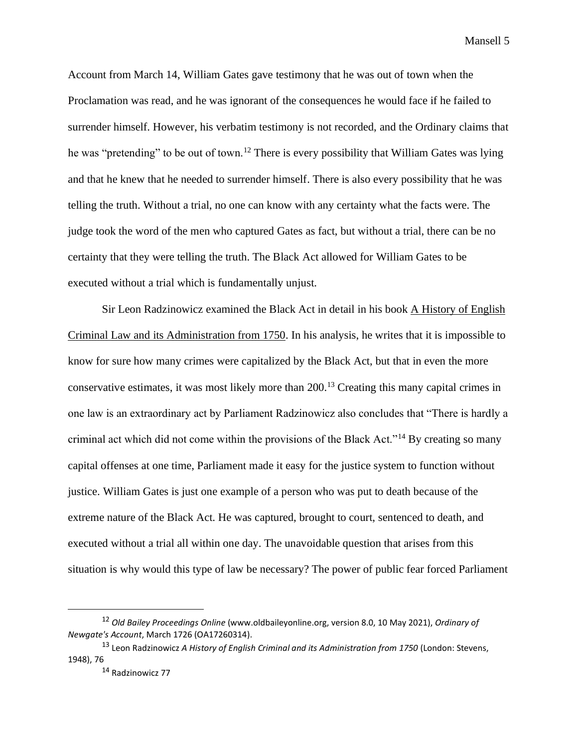Account from March 14, William Gates gave testimony that he was out of town when the Proclamation was read, and he was ignorant of the consequences he would face if he failed to surrender himself. However, his verbatim testimony is not recorded, and the Ordinary claims that he was "pretending" to be out of town.<sup>12</sup> There is every possibility that William Gates was lying and that he knew that he needed to surrender himself. There is also every possibility that he was telling the truth. Without a trial, no one can know with any certainty what the facts were. The judge took the word of the men who captured Gates as fact, but without a trial, there can be no certainty that they were telling the truth. The Black Act allowed for William Gates to be executed without a trial which is fundamentally unjust.

Sir Leon Radzinowicz examined the Black Act in detail in his book A History of English Criminal Law and its Administration from 1750. In his analysis, he writes that it is impossible to know for sure how many crimes were capitalized by the Black Act, but that in even the more conservative estimates, it was most likely more than 200.<sup>13</sup> Creating this many capital crimes in one law is an extraordinary act by Parliament Radzinowicz also concludes that "There is hardly a criminal act which did not come within the provisions of the Black Act."<sup>14</sup> By creating so many capital offenses at one time, Parliament made it easy for the justice system to function without justice. William Gates is just one example of a person who was put to death because of the extreme nature of the Black Act. He was captured, brought to court, sentenced to death, and executed without a trial all within one day. The unavoidable question that arises from this situation is why would this type of law be necessary? The power of public fear forced Parliament

<sup>12</sup> *Old Bailey Proceedings Online* (www.oldbaileyonline.org, version 8.0, 10 May 2021), *Ordinary of Newgate's Account*, March 1726 (OA17260314).

<sup>&</sup>lt;sup>13</sup> Leon Radzinowicz *A History of English Criminal and its Administration from 1750 (London: Stevens,* 1948), 76

<sup>14</sup> Radzinowicz 77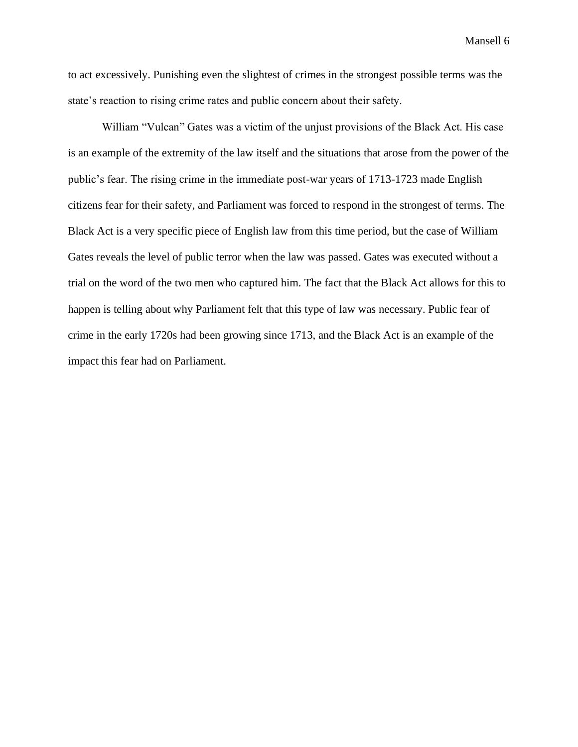to act excessively. Punishing even the slightest of crimes in the strongest possible terms was the state's reaction to rising crime rates and public concern about their safety.

William "Vulcan" Gates was a victim of the unjust provisions of the Black Act. His case is an example of the extremity of the law itself and the situations that arose from the power of the public's fear. The rising crime in the immediate post-war years of 1713-1723 made English citizens fear for their safety, and Parliament was forced to respond in the strongest of terms. The Black Act is a very specific piece of English law from this time period, but the case of William Gates reveals the level of public terror when the law was passed. Gates was executed without a trial on the word of the two men who captured him. The fact that the Black Act allows for this to happen is telling about why Parliament felt that this type of law was necessary. Public fear of crime in the early 1720s had been growing since 1713, and the Black Act is an example of the impact this fear had on Parliament.